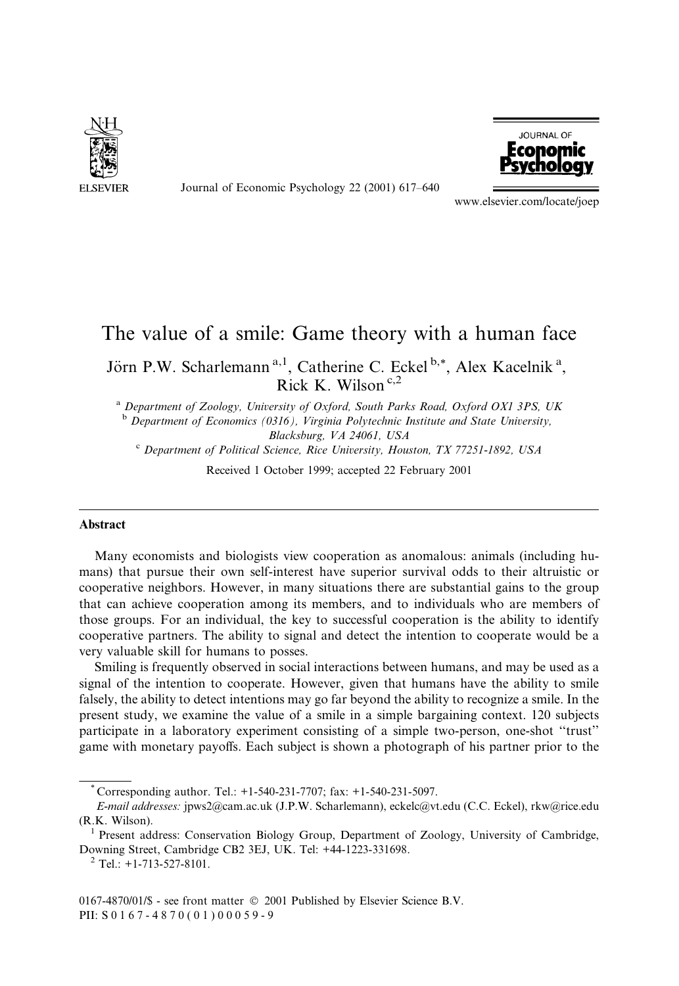

Journal of Economic Psychology 22 (2001) 617-640



www.elsevier.com/locate/joep

## The value of a smile: Game theory with a human face Jörn P.W. Scharlemann<sup>a,1</sup>, Catherine C. Eckel<sup>b,\*</sup>, Alex Kacelnik<sup>a</sup>, Rick K. Wilson<sup>c,2</sup>

<sup>a</sup> Department of Zoology, University of Oxford, South Parks Road, Oxford OX1 3PS, UK  $<sup>b</sup>$  Department of Economics (0316), Virginia Polytechnic Institute and State University,</sup> Blacksburg, VA 24061, USA

<sup>c</sup> Department of Political Science, Rice University, Houston, TX 77251-1892, USA

Received 1 October 1999; accepted 22 February 2001

## Abstract

Many economists and biologists view cooperation as anomalous: animals (including humans) that pursue their own self-interest have superior survival odds to their altruistic or cooperative neighbors. However, in many situations there are substantial gains to the group that can achieve cooperation among its members, and to individuals who are members of those groups. For an individual, the key to successful cooperation is the ability to identify cooperative partners. The ability to signal and detect the intention to cooperate would be a very valuable skill for humans to posses.

Smiling is frequently observed in social interactions between humans, and may be used as a signal of the intention to cooperate. However, given that humans have the ability to smile falsely, the ability to detect intentions may go far beyond the ability to recognize a smile. In the present study, we examine the value of a smile in a simple bargaining context. 120 subjects participate in a laboratory experiment consisting of a simple two-person, one-shot "trust" game with monetary payoffs. Each subject is shown a photograph of his partner prior to the

 $2$  Tel.: +1-713-527-8101.

Corresponding author. Tel.:  $+1-540-231-7707$ ; fax:  $+1-540-231-5097$ .

E-mail addresses: jpws2@cam.ac.uk (J.P.W. Scharlemann), eckelc@vt.edu (C.C. Eckel), rkw@rice.edu (R.K. Wilson).

Present address: Conservation Biology Group, Department of Zoology, University of Cambridge, Downing Street, Cambridge CB2 3EJ, UK. Tel: +44-1223-331698.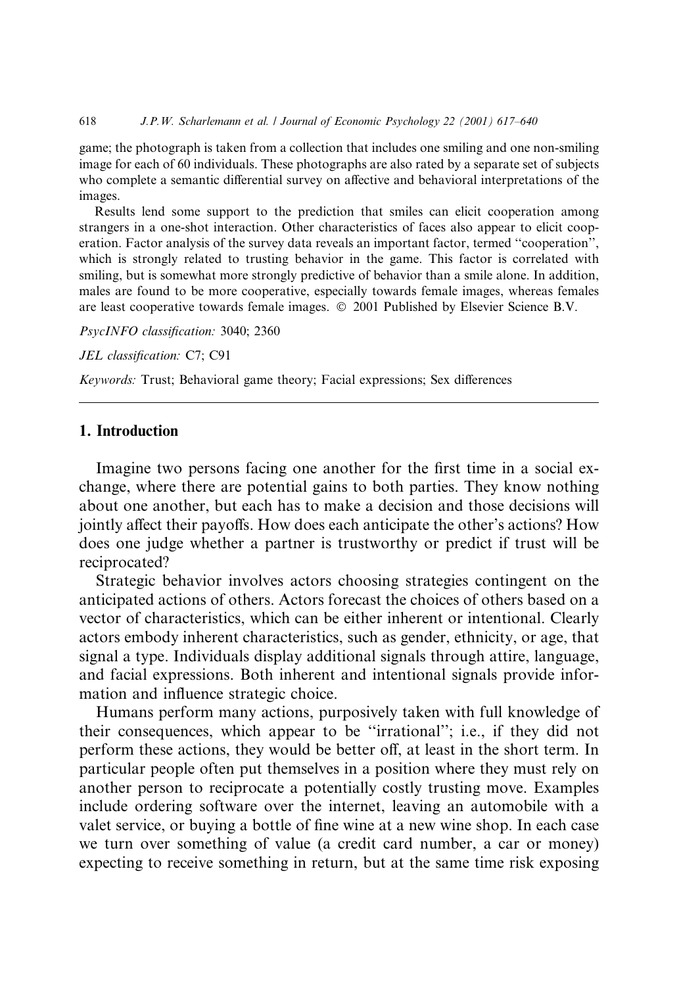game; the photograph is taken from a collection that includes one smiling and one non-smiling image for each of 60 individuals. These photographs are also rated by a separate set of subjects who complete a semantic differential survey on affective and behavioral interpretations of the images.

Results lend some support to the prediction that smiles can elicit cooperation among strangers in a one-shot interaction. Other characteristics of faces also appear to elicit cooperation. Factor analysis of the survey data reveals an important factor, termed "cooperation", which is strongly related to trusting behavior in the game. This factor is correlated with smiling, but is somewhat more strongly predictive of behavior than a smile alone. In addition, males are found to be more cooperative, especially towards female images, whereas females are least cooperative towards female images.  $\odot$  2001 Published by Elsevier Science B.V.

PsycINFO classification: 3040; 2360

JEL classification: C7; C91

Keywords: Trust; Behavioral game theory; Facial expressions; Sex differences

## 1. Introduction

Imagine two persons facing one another for the first time in a social exchange, where there are potential gains to both parties. They know nothing about one another, but each has to make a decision and those decisions will jointly affect their payoffs. How does each anticipate the other's actions? How does one judge whether a partner is trustworthy or predict if trust will be reciprocated?

Strategic behavior involves actors choosing strategies contingent on the anticipated actions of others. Actors forecast the choices of others based on a vector of characteristics, which can be either inherent or intentional. Clearly actors embody inherent characteristics, such as gender, ethnicity, or age, that signal a type. Individuals display additional signals through attire, language, and facial expressions. Both inherent and intentional signals provide information and influence strategic choice.

Humans perform many actions, purposively taken with full knowledge of their consequences, which appear to be "irrational"; i.e., if they did not perform these actions, they would be better off, at least in the short term. In particular people often put themselves in a position where they must rely on another person to reciprocate a potentially costly trusting move. Examples include ordering software over the internet, leaving an automobile with a valet service, or buying a bottle of fine wine at a new wine shop. In each case we turn over something of value (a credit card number, a car or money) expecting to receive something in return, but at the same time risk exposing